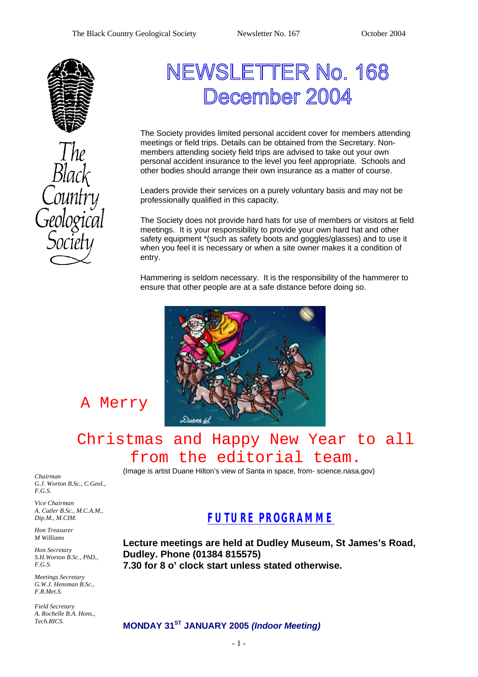

# NEWSLETTER No. 168 December 2004

The Society provides limited personal accident cover for members attending meetings or field trips. Details can be obtained from the Secretary. Nonmembers attending society field trips are advised to take out your own personal accident insurance to the level you feel appropriate. Schools and other bodies should arrange their own insurance as a matter of course.

Leaders provide their services on a purely voluntary basis and may not be professionally qualified in this capacity.

The Society does not provide hard hats for use of members or visitors at field meetings. It is your responsibility to provide your own hard hat and other safety equipment \*(such as safety boots and goggles/glasses) and to use it when you feel it is necessary or when a site owner makes it a condition of entry.

Hammering is seldom necessary. It is the responsibility of the hammerer to ensure that other people are at a safe distance before doing so.



### A Merry

# Christmas and Happy New Year to all from the editorial team.

(Image is artist Duane Hilton's view of Santa in space, from- science.nasa.gov)

*Chairman G.J. Worton B.Sc., C.Geol., F.G.S.*

*Vice Chairman A. Cutler B.Sc., M.C.A.M., Dip.M., M.CIM.*

*Hon Treasurer M Williams* 

*Hon Secretary S.H.Worton B.Sc., PhD., F.G.S.*

*Meetings Secretary G.W.J. Hensman B.Sc., F.R.Met.S.*

*Field Secretary A. Rochelle B.A. Hons., Tech.RICS.*

### *FUTURE PROGRAMME*

**Lecture meetings are held at Dudley Museum, St James's Road, Dudley. Phone (01384 815575) 7.30 for 8 o' clock start unless stated otherwise.**

**MONDAY 31ST JANUARY 2005** *(Indoor Meeting)*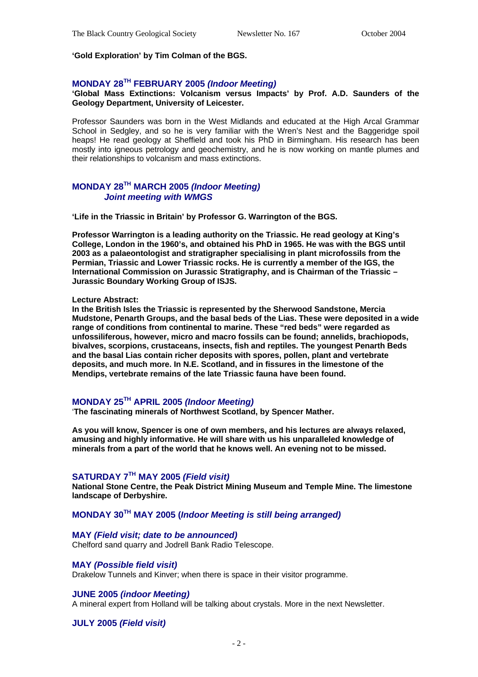#### **'Gold Exploration' by Tim Colman of the BGS.**

#### **MONDAY 28TH FEBRUARY 2005** *(Indoor Meeting)*

#### **'Global Mass Extinctions: Volcanism versus Impacts' by Prof. A.D. Saunders of the Geology Department, University of Leicester.**

Professor Saunders was born in the West Midlands and educated at the High Arcal Grammar School in Sedgley, and so he is very familiar with the Wren's Nest and the Baggeridge spoil heaps! He read geology at Sheffield and took his PhD in Birmingham. His research has been mostly into igneous petrology and geochemistry, and he is now working on mantle plumes and their relationships to volcanism and mass extinctions.

#### **MONDAY 28TH MARCH 2005** *(Indoor Meeting) Joint meeting with WMGS*

**'Life in the Triassic in Britain' by Professor G. Warrington of the BGS.** 

**Professor Warrington is a leading authority on the Triassic. He read geology at King's College, London in the 1960's, and obtained his PhD in 1965. He was with the BGS until 2003 as a palaeontologist and stratigrapher specialising in plant microfossils from the Permian, Triassic and Lower Triassic rocks. He is currently a member of the IGS, the International Commission on Jurassic Stratigraphy, and is Chairman of the Triassic – Jurassic Boundary Working Group of ISJS.**

#### **Lecture Abstract:**

**In the British Isles the Triassic is represented by the Sherwood Sandstone, Mercia Mudstone, Penarth Groups, and the basal beds of the Lias. These were deposited in a wide range of conditions from continental to marine. These "red beds" were regarded as unfossiliferous, however, micro and macro fossils can be found; annelids, brachiopods, bivalves, scorpions, crustaceans, insects, fish and reptiles. The youngest Penarth Beds and the basal Lias contain richer deposits with spores, pollen, plant and vertebrate deposits, and much more. In N.E. Scotland, and in fissures in the limestone of the Mendips, vertebrate remains of the late Triassic fauna have been found.**

#### **MONDAY 25TH APRIL 2005** *(Indoor Meeting)*

'**The fascinating minerals of Northwest Scotland, by Spencer Mather.**

**As you will know, Spencer is one of own members, and his lectures are always relaxed, amusing and highly informative. He will share with us his unparalleled knowledge of minerals from a part of the world that he knows well. An evening not to be missed.**

#### **SATURDAY 7TH MAY 2005** *(Field visit)*

**National Stone Centre, the Peak District Mining Museum and Temple Mine. The limestone landscape of Derbyshire.**

#### **MONDAY 30TH MAY 2005 (***Indoor Meeting is still being arranged)*

#### **MAY** *(Field visit; date to be announced)*

Chelford sand quarry and Jodrell Bank Radio Telescope.

#### **MAY** *(Possible field visit)*

Drakelow Tunnels and Kinver; when there is space in their visitor programme.

#### **JUNE 2005** *(indoor Meeting)*

A mineral expert from Holland will be talking about crystals. More in the next Newsletter.

#### **JULY 2005** *(Field visit)*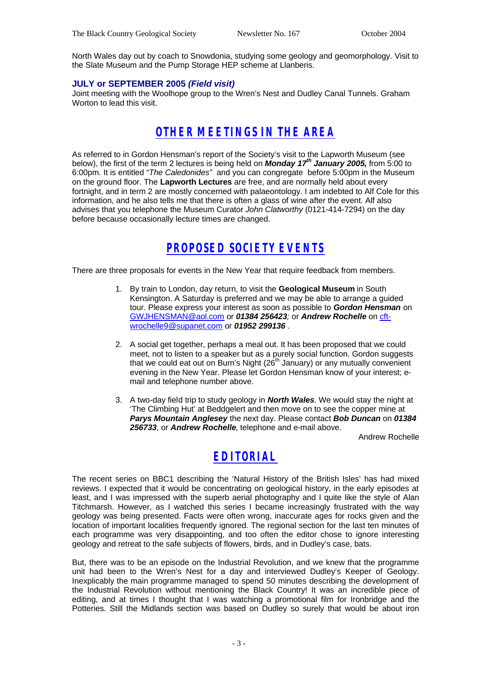North Wales day out by coach to Snowdonia, studying some geology and geomorphology. Visit to the Slate Museum and the Pump Storage HEP scheme at Llanberis.

#### **JULY or SEPTEMBER 2005** *(Field visit)*

Joint meeting with the Woolhope group to the Wren's Nest and Dudley Canal Tunnels. Graham Worton to lead this visit.

### *OTHER MEETINGS IN THE AREA*

As referred to in Gordon Hensman's report of the Society's visit to the Lapworth Museum (see below), the first of the term 2 lectures is being held on *Monday 17th January 2005,* from 5:00 to 6:00pm. It is entitled "*The Caledonides"* and you can congregate before 5:00pm in the Museum on the ground floor. The **Lapworth Lectures** are free, and are normally held about every fortnight, and in term 2 are mostly concerned with palaeontology. I am indebted to Alf Cole for this information, and he also tells me that there is often a glass of wine after the event. Alf also advises that you telephone the Museum Curator *John Clatworthy* (0121-414-7294) on the day before because occasionally lecture times are changed.

### *PROPOSED SOCIETY EVENTS*

There are three proposals for events in the New Year that require feedback from members.

- 1. By train to London, day return, to visit the **Geological Museum** in South Kensington. A Saturday is preferred and we may be able to arrange a guided tour. Please express your interest as soon as possible to *Gordon Hensman* on GWJHENSMAN@aol.com or *01384 256423;* or *Andrew Rochelle* on cftwrochelle9@supanet.com or *01952 299136* .
- 2. A social get together, perhaps a meal out. It has been proposed that we could meet, not to listen to a speaker but as a purely social function. Gordon suggests that we could eat out on Burn's Night  $(26<sup>th</sup>$  January) or any mutually convenient evening in the New Year. Please let Gordon Hensman know of your interest; email and telephone number above.
- 3. A two-day field trip to study geology in *North Wales*. We would stay the night at 'The Climbing Hut' at Beddgelert and then move on to see the copper mine at *Parys Mountain Anglesey* the next day. Please contact *Bob Duncan* on *01384 256733*, or *Andrew Rochelle*, telephone and e-mail above.

Andrew Rochelle

### *EDITORIAL*

The recent series on BBC1 describing the 'Natural History of the British Isles' has had mixed reviews. I expected that it would be concentrating on geological history, in the early episodes at least, and I was impressed with the superb aerial photography and I quite like the style of Alan Titchmarsh. However, as I watched this series I became increasingly frustrated with the way geology was being presented. Facts were often wrong, inaccurate ages for rocks given and the location of important localities frequently ignored. The regional section for the last ten minutes of each programme was very disappointing, and too often the editor chose to ignore interesting geology and retreat to the safe subjects of flowers, birds, and in Dudley's case, bats.

But, there was to be an episode on the Industrial Revolution, and we knew that the programme unit had been to the Wren's Nest for a day and interviewed Dudley's Keeper of Geology. Inexplicably the main programme managed to spend 50 minutes describing the development of the Industrial Revolution without mentioning the Black Country! It was an incredible piece of editing, and at times I thought that I was watching a promotional film for Ironbridge and the Potteries. Still the Midlands section was based on Dudley so surely that would be about iron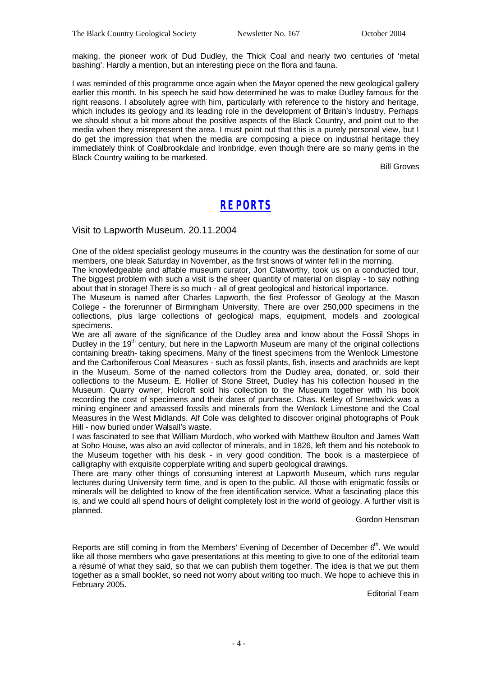making, the pioneer work of Dud Dudley, the Thick Coal and nearly two centuries of 'metal bashing'. Hardly a mention, but an interesting piece on the flora and fauna.

I was reminded of this programme once again when the Mayor opened the new geological gallery earlier this month. In his speech he said how determined he was to make Dudley famous for the right reasons. I absolutely agree with him, particularly with reference to the history and heritage, which includes its geology and its leading role in the development of Britain's Industry. Perhaps we should shout a bit more about the positive aspects of the Black Country, and point out to the media when they misrepresent the area. I must point out that this is a purely personal view, but I do get the impression that when the media are composing a piece on industrial heritage they immediately think of Coalbrookdale and Ironbridge, even though there are so many gems in the Black Country waiting to be marketed.

Bill Groves

### *REPORTS*

Visit to Lapworth Museum. 20.11.2004

One of the oldest specialist geology museums in the country was the destination for some of our members, one bleak Saturday in November, as the first snows of winter fell in the morning.

The knowledgeable and affable museum curator, Jon Clatworthy, took us on a conducted tour. The biggest problem with such a visit is the sheer quantity of material on display - to say nothing about that in storage! There is so much - all of great geological and historical importance.

The Museum is named after Charles Lapworth, the first Professor of Geology at the Mason College - the forerunner of Birmingham University. There are over 250,000 specimens in the collections, plus large collections of geological maps, equipment, models and zoological specimens.

We are all aware of the significance of the Dudley area and know about the Fossil Shops in Dudley in the 19<sup>th</sup> century, but here in the Lapworth Museum are many of the original collections containing breath- taking specimens. Many of the finest specimens from the Wenlock Limestone and the Carboniferous Coal Measures - such as fossil plants, fish, insects and arachnids are kept in the Museum. Some of the named collectors from the Dudley area, donated, or, sold their collections to the Museum. E. Hollier of Stone Street, Dudley has his collection housed in the Museum. Quarry owner, Holcroft sold his collection to the Museum together with his book recording the cost of specimens and their dates of purchase. Chas. Ketley of Smethwick was a mining engineer and amassed fossils and minerals from the Wenlock Limestone and the Coal Measures in the West Midlands. Alf Cole was delighted to discover original photographs of Pouk Hill - now buried under Walsall's waste.

I was fascinated to see that William Murdoch, who worked with Matthew Boulton and James Watt at Soho House, was also an avid collector of minerals, and in 1826, left them and his notebook to the Museum together with his desk - in very good condition. The book is a masterpiece of calligraphy with exquisite copperplate writing and superb geological drawings.

There are many other things of consuming interest at Lapworth Museum, which runs regular lectures during University term time, and is open to the public. All those with enigmatic fossils or minerals will be delighted to know of the free identification service. What a fascinating place this is, and we could all spend hours of delight completely lost in the world of geology. A further visit is planned.

Gordon Hensman

Reports are still coming in from the Members' Evening of December of December 6<sup>th</sup>. We would like all those members who gave presentations at this meeting to give to one of the editorial team a résumé of what they said, so that we can publish them together. The idea is that we put them together as a small booklet, so need not worry about writing too much. We hope to achieve this in February 2005.

Editorial Team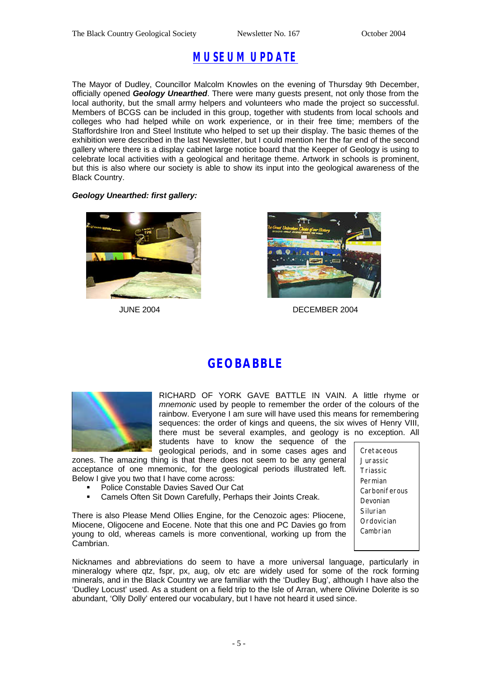# *MUSEUM UPDATE*

The Mayor of Dudley, Councillor Malcolm Knowles on the evening of Thursday 9th December, officially opened *Geology Unearthed*. There were many guests present, not only those from the local authority, but the small army helpers and volunteers who made the project so successful. Members of BCGS can be included in this group, together with students from local schools and colleges who had helped while on work experience, or in their free time; members of the Staffordshire Iron and Steel Institute who helped to set up their display. The basic themes of the exhibition were described in the last Newsletter, but I could mention her the far end of the second gallery where there is a display cabinet large notice board that the Keeper of Geology is using to celebrate local activities with a geological and heritage theme. Artwork in schools is prominent, but this is also where our society is able to show its input into the geological awareness of the Black Country.

#### *Geology Unearthed: first gallery:*





JUNE 2004 DECEMBER 2004

# **GEOBABBLE**



RICHARD OF YORK GAVE BATTLE IN VAIN. A little rhyme or *mnemonic* used by people to remember the order of the colours of the rainbow. Everyone I am sure will have used this means for remembering sequences: the order of kings and queens, the six wives of Henry VIII, there must be several examples, and geology is no exception. All students have to know the sequence of the

geological periods, and in some cases ages and zones. The amazing thing is that there does not seem to be any general acceptance of one mnemonic, for the geological periods illustrated left. Below I give you two that I have come across:

- ß Police Constable Davies Saved Our Cat
- ß Camels Often Sit Down Carefully, Perhaps their Joints Creak.

There is also Please Mend Ollies Engine, for the Cenozoic ages: Pliocene, Miocene, Oligocene and Eocene. Note that this one and PC Davies go from young to old, whereas camels is more conventional, working up from the Cambrian.

Nicknames and abbreviations do seem to have a more universal language, particularly in mineralogy where qtz, fspr, px, aug, olv etc are widely used for some of the rock forming minerals, and in the Black Country we are familiar with the 'Dudley Bug', although I have also the 'Dudley Locust' used. As a student on a field trip to the Isle of Arran, where Olivine Dolerite is so abundant, 'Olly Dolly' entered our vocabulary, but I have not heard it used since.

**Cretaceous** Jurassic Triassic Permian Carboniferous Devonian Silurian **Ordovician** Cambrian